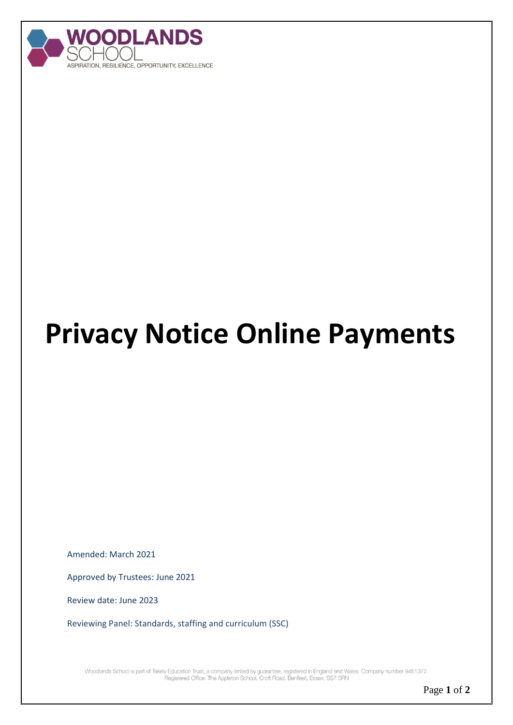

## **Privacy Notice Online Payments**

Amended: March 2021

Approved by Trustees: June 2021

Review date: June 2023

Reviewing Panel: Standards, staffing and curriculum (SSC)

Woodlands School is part of Takely Education Trust, a company limited by guarantee, registered in England and Wales. Company number 9451372.<br>Registered Office: The Appleton School, Croft Road, Benfleet, Essex, SS7 5RN